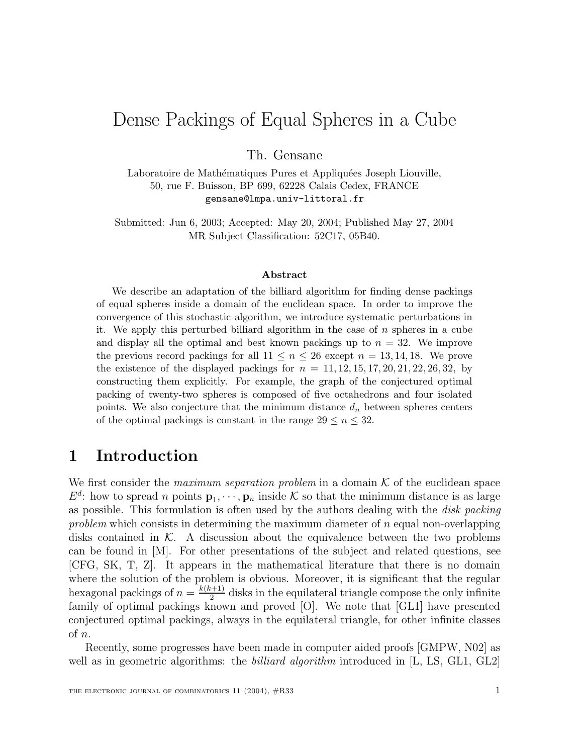# $\mathbb{R}$  below the continuity of  $\mathbb{R}$  is equal Spheres in a Cube of Cube

Th. Gensane

Laboratoire de Mathématiques Pures et Appliquées Joseph Liouville, 50, rue F. Buisson, BP 699, 62228 Calais Cedex, FRANCE gensane@lmpa.univ-littoral.fr

Submitted: Jun 6, 2003; Accepted: May 20, 2004; Published May 27, 2004 MR Subject Classification: 52C17, 05B40.

#### **Abstract**

We describe an adaptation of the billiard algorithm for finding dense packings of equal spheres inside a domain of the euclidean space. In order to improve the convergence of this stochastic algorithm, we introduce systematic perturbations in it. We apply this perturbed billiard algorithm in the case of n spheres in a cube and display all the optimal and best known packings up to  $n = 32$ . We improve the previous record packings for all  $11 \leq n \leq 26$  except  $n = 13, 14, 18$ . We prove the existence of the displayed packings for  $n = 11, 12, 15, 17, 20, 21, 22, 26, 32$ , by constructing them explicitly. For example, the graph of the conjectured optimal packing of twenty-two spheres is composed of five octahedrons and four isolated points. We also conjecture that the minimum distance  $d_n$  between spheres centers of the optimal packings is constant in the range  $29 \le n \le 32$ .

### **1 Introduction**

We first consider the *maximum separation problem* in a domain  $K$  of the euclidean space  $E^d$ : how to spread *n* points  $\mathbf{p}_1, \dots, \mathbf{p}_n$  inside K so that the minimum distance is as large as possible. This formulation is often used by the authors dealing with the *disk packing* problem which consists in determining the maximum diameter of  $n$  equal non-overlapping disks contained in  $K$ . A discussion about the equivalence between the two problems can be found in [M]. For other presentations of the subject and related questions, see [CFG, SK, T, Z]. It appears in the mathematical literature that there is no domain where the solution of the problem is obvious. Moreover, it is significant that the regular hexagonal packings of  $n = \frac{k(k+1)}{2}$  disks in the equilateral triangle compose the only infinite family of optimal packings known and proved [O]. We note that [GL1] have presented conjectured optimal packings, always in the equilateral triangle, for other infinite classes of n.

Recently, some progresses have been made in computer aided proofs [GMPW, N02] as well as in geometric algorithms: the *billiard algorithm* introduced in [L, LS, GL1, GL2]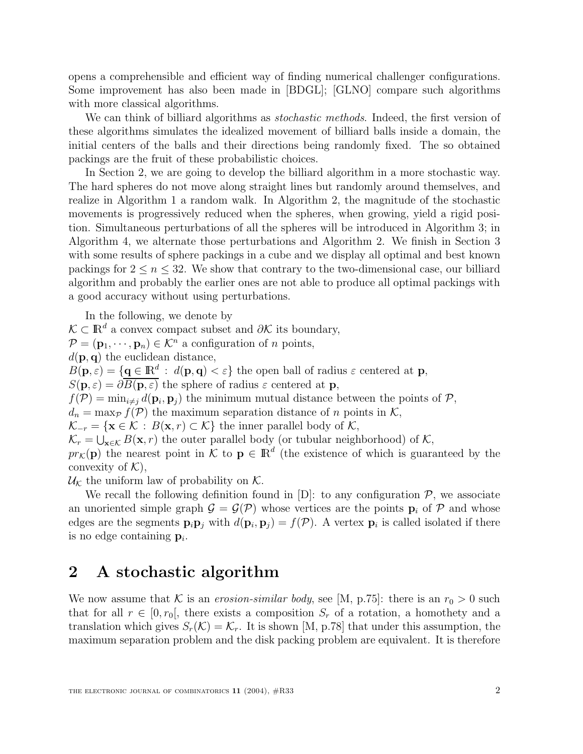opens a comprehensible and efficient way of finding numerical challenger configurations. Some improvement has also been made in [BDGL]; [GLNO] compare such algorithms with more classical algorithms.

We can think of billiard algorithms as *stochastic methods*. Indeed, the first version of these algorithms simulates the idealized movement of billiard balls inside a domain, the initial centers of the balls and their directions being randomly fixed. The so obtained packings are the fruit of these probabilistic choices.

In Section 2, we are going to develop the billiard algorithm in a more stochastic way. The hard spheres do not move along straight lines but randomly around themselves, and realize in Algorithm 1 a random walk. In Algorithm 2, the magnitude of the stochastic movements is progressively reduced when the spheres, when growing, yield a rigid position. Simultaneous perturbations of all the spheres will be introduced in Algorithm 3; in Algorithm 4, we alternate those perturbations and Algorithm 2. We finish in Section 3 with some results of sphere packings in a cube and we display all optimal and best known packings for  $2 \leq n \leq 32$ . We show that contrary to the two-dimensional case, our billiard algorithm and probably the earlier ones are not able to produce all optimal packings with a good accuracy without using perturbations.

In the following, we denote by  $\mathcal{K} \subset \mathbb{R}^d$  a convex compact subset and  $\partial \mathcal{K}$  its boundary,  $\mathcal{P} = (\mathbf{p}_1, \dots, \mathbf{p}_n) \in \mathcal{K}^n$  a configuration of *n* points,  $d(\mathbf{p}, \mathbf{q})$  the euclidean distance,  $B(\mathbf{p}, \varepsilon) = {\mathbf{q} \in \mathbb{R}^d : d(\mathbf{p}, \mathbf{q}) < \varepsilon}$  the open ball of radius  $\varepsilon$  centered at **p**,  $S(\mathbf{p}, \varepsilon) = \partial \overline{B(\mathbf{p}, \varepsilon)}$  the sphere of radius  $\varepsilon$  centered at **p**,  $f(\mathcal{P}) = \min_{i \neq j} d(\mathbf{p}_i, \mathbf{p}_j)$  the minimum mutual distance between the points of  $\mathcal{P}$ ,  $d_n = \max_{\mathcal{P}} f(\mathcal{P})$  the maximum separation distance of n points in K,  $\mathcal{K}_{-r} = {\mathbf{x} \in \mathcal{K} : B(\mathbf{x}, r) \subset \mathcal{K}}$  the inner parallel body of  $\mathcal{K}$ ,  $\mathcal{K}_r = \bigcup_{\mathbf{x} \in \mathcal{K}} B(\mathbf{x}, r)$  the outer parallel body (or tubular neighborhood) of K,  $pr_K(\mathbf{p})$  the nearest point in  $\mathcal{K}$  to  $\mathbf{p} \in \mathbb{R}^d$  (the existence of which is guaranteed by the convexity of  $K$ ),

 $\mathcal{U}_{\mathcal{K}}$  the uniform law of probability on  $\mathcal{K}$ .

We recall the following definition found in  $[D]$ : to any configuration  $\mathcal{P}$ , we associate an unoriented simple graph  $\mathcal{G} = \mathcal{G}(\mathcal{P})$  whose vertices are the points  $\mathbf{p}_i$  of  $\mathcal{P}$  and whose edges are the segments  $\mathbf{p}_i \mathbf{p}_j$  with  $d(\mathbf{p}_i, \mathbf{p}_j) = f(\mathcal{P})$ . A vertex  $\mathbf{p}_i$  is called isolated if there is no edge containing  $\mathbf{p}_i$ .

### **2 A stochastic algorithm**

We now assume that K is an erosion-similar body, see [M, p.75]: there is an  $r_0 > 0$  such that for all  $r \in [0, r_0]$ , there exists a composition  $S_r$  of a rotation, a homothety and a translation which gives  $S_r(\mathcal{K}) = \mathcal{K}_r$ . It is shown [M, p.78] that under this assumption, the maximum separation problem and the disk packing problem are equivalent. It is therefore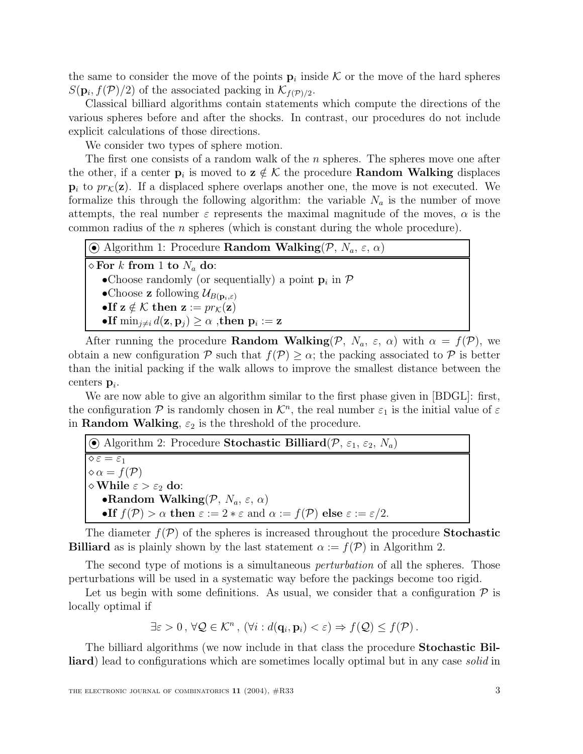the same to consider the move of the points  $\mathbf{p}_i$  inside K or the move of the hard spheres  $S(\mathbf{p}_i, f(\mathcal{P})/2)$  of the associated packing in  $\mathcal{K}_{f(\mathcal{P})/2}$ .

Classical billiard algorithms contain statements which compute the directions of the various spheres before and after the shocks. In contrast, our procedures do not include explicit calculations of those directions.

We consider two types of sphere motion.

The first one consists of a random walk of the  $n$  spheres. The spheres move one after the other, if a center  $\mathbf{p}_i$  is moved to  $\mathbf{z} \notin \mathcal{K}$  the procedure **Random Walking** displaces  $\mathbf{p}_i$  to  $pr_{\mathcal{K}}(\mathbf{z})$ . If a displaced sphere overlaps another one, the move is not executed. We formalize this through the following algorithm: the variable  $N_a$  is the number of move attempts, the real number  $\varepsilon$  represents the maximal magnitude of the moves,  $\alpha$  is the common radius of the n spheres (which is constant during the whole procedure).

| $\overline{\mathcal{O}}$ Algorithm 1: Procedure <b>Random Walking</b> $(\mathcal{P}, N_a, \varepsilon, \alpha)$ |
|-----------------------------------------------------------------------------------------------------------------|
| $\infty$ For k from 1 to $N_a$ do:                                                                              |
| • Choose randomly (or sequentially) a point $\mathbf{p}_i$ in $\mathcal{P}$                                     |
| •Choose <b>z</b> following $\mathcal{U}_{B(\mathbf{p}_i,\varepsilon)}$                                          |
| •If $z \notin \mathcal{K}$ then $z := pr_{\mathcal{K}}(z)$                                                      |
| •If $\min_{j\neq i} d(\mathbf{z}, \mathbf{p}_j) \geq \alpha$ , then $\mathbf{p}_i := \mathbf{z}$                |

After running the procedure **Random Walking** $(P, N_a, \varepsilon, \alpha)$  with  $\alpha = f(P)$ , we obtain a new configuration P such that  $f(\mathcal{P}) \geq \alpha$ ; the packing associated to P is better than the initial packing if the walk allows to improve the smallest distance between the centers  $\mathbf{p}_i$ .

We are now able to give an algorithm similar to the first phase given in [BDGL]: first, the configuration P is randomly chosen in  $\mathcal{K}^n$ , the real number  $\varepsilon_1$  is the initial value of  $\varepsilon$ in **Random Walking**,  $\varepsilon_2$  is the threshold of the procedure.

 $\odot$  Algorithm 2: Procedure **Stochastic Billiard**( $\mathcal{P}$ ,  $\varepsilon_1$ ,  $\varepsilon_2$ ,  $N_a$ )  $\sqrt{\varepsilon} = \varepsilon_1$  $\diamond \alpha = f(\mathcal{P})$  $\diamond$  While  $\varepsilon > \varepsilon_2$  do: **•Random Walking** $(\mathcal{P}, N_a, \varepsilon, \alpha)$ •**If**  $f(\mathcal{P}) > \alpha$  **then**  $\varepsilon := 2 * \varepsilon$  and  $\alpha := f(\mathcal{P})$  **else**  $\varepsilon := \varepsilon/2$ .

The diameter  $f(\mathcal{P})$  of the spheres is increased throughout the procedure **Stochastic Billiard** as is plainly shown by the last statement  $\alpha := f(\mathcal{P})$  in Algorithm 2.

The second type of motions is a simultaneous *perturbation* of all the spheres. Those perturbations will be used in a systematic way before the packings become too rigid.

Let us begin with some definitions. As usual, we consider that a configuration  $\mathcal P$  is locally optimal if

$$
\exists \varepsilon > 0 \,,\, \forall \mathcal{Q} \in \mathcal{K}^n \,,\, (\forall i : d(\mathbf{q}_i, \mathbf{p}_i) < \varepsilon) \Rightarrow f(\mathcal{Q}) \le f(\mathcal{P}) \,.
$$

The billiard algorithms (we now include in that class the procedure **Stochastic Billiard**) lead to configurations which are sometimes locally optimal but in any case *solid* in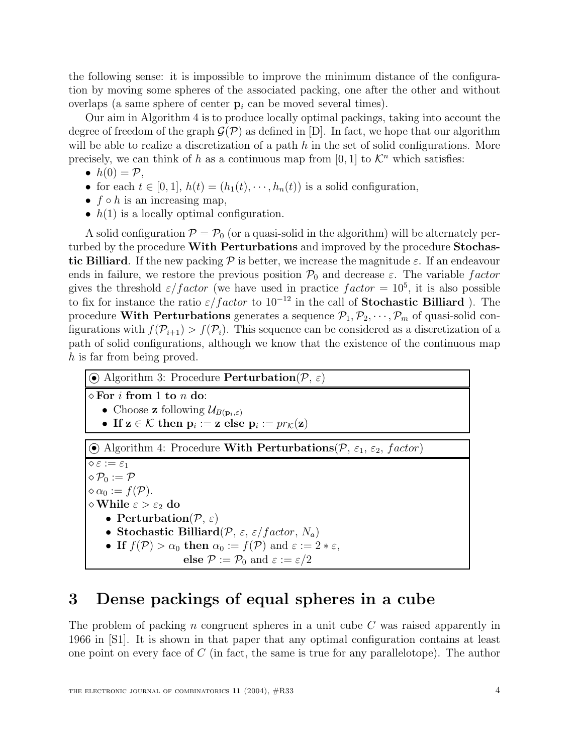the following sense: it is impossible to improve the minimum distance of the configuration by moving some spheres of the associated packing, one after the other and without overlaps (a same sphere of center  $p_i$  can be moved several times).

Our aim in Algorithm 4 is to produce locally optimal packings, taking into account the degree of freedom of the graph  $\mathcal{G}(\mathcal{P})$  as defined in [D]. In fact, we hope that our algorithm will be able to realize a discretization of a path  $h$  in the set of solid configurations. More precisely, we can think of h as a continuous map from [0, 1] to  $\mathcal{K}^n$  which satisfies:

- $h(0) = P$ ,
- for each  $t \in [0,1], h(t)=(h_1(t), \dots, h_n(t))$  is a solid configuration,
- $f \circ h$  is an increasing map,
- $h(1)$  is a locally optimal configuration.

A solid configuration  $\mathcal{P} = \mathcal{P}_0$  (or a quasi-solid in the algorithm) will be alternately perturbed by the procedure **With Perturbations** and improved by the procedure **Stochastic Billiard**. If the new packing  $\mathcal{P}$  is better, we increase the magnitude  $\varepsilon$ . If an endeavour ends in failure, we restore the previous position  $\mathcal{P}_0$  and decrease  $\varepsilon$ . The variable factor gives the threshold  $\varepsilon/factor$  (we have used in practice  $factor = 10^5$ , it is also possible to fix for instance the ratio  $\varepsilon/factor$  to  $10^{-12}$  in the call of **Stochastic Billiard** ). The procedure **With Perturbations** generates a sequence  $\mathcal{P}_1, \mathcal{P}_2, \cdots, \mathcal{P}_m$  of quasi-solid configurations with  $f(\mathcal{P}_{i+1}) > f(\mathcal{P}_i)$ . This sequence can be considered as a discretization of a path of solid configurations, although we know that the existence of the continuous map h is far from being proved.

| $\odot$ Algorithm 3: Procedure <b>Perturbation</b> $(\mathcal{P}, \varepsilon)$                           |  |  |  |  |
|-----------------------------------------------------------------------------------------------------------|--|--|--|--|
| $\Diamond$ For i from 1 to n do:                                                                          |  |  |  |  |
| • Choose <b>z</b> following $\mathcal{U}_{B(\mathbf{p}_i,\varepsilon)}$                                   |  |  |  |  |
| • If $z \in \mathcal{K}$ then $p_i := z$ else $p_i := pr_{\mathcal{K}}(z)$                                |  |  |  |  |
| $\odot$ Algorithm 4: Procedure With Perturbations(P, $\varepsilon_1$ , $\varepsilon_2$ , factor)          |  |  |  |  |
| $\diamond \varepsilon := \varepsilon_1$                                                                   |  |  |  |  |
| $\Diamond \mathcal{P}_0 := \mathcal{P}$                                                                   |  |  |  |  |
| $\diamond \alpha_0 := f(\mathcal{P}).$                                                                    |  |  |  |  |
| $\diamond$ While $\varepsilon > \varepsilon_2$ do                                                         |  |  |  |  |
| • Perturbation $(\mathcal{P}, \varepsilon)$                                                               |  |  |  |  |
| • Stochastic Billiard( $P$ , $\varepsilon$ , $\varepsilon$ /factor, $N_a$ )                               |  |  |  |  |
| • If $f(\mathcal{P}) > \alpha_0$ then $\alpha_0 := f(\mathcal{P})$ and $\varepsilon := 2 * \varepsilon$ , |  |  |  |  |
| else $\mathcal{P} := \mathcal{P}_0$ and $\varepsilon := \varepsilon/2$                                    |  |  |  |  |

# **3 Dense packings of equal spheres in a cube**

The problem of packing n congruent spheres in a unit cube  $C$  was raised apparently in 1966 in [S1]. It is shown in that paper that any optimal configuration contains at least one point on every face of  $C$  (in fact, the same is true for any parallelotope). The author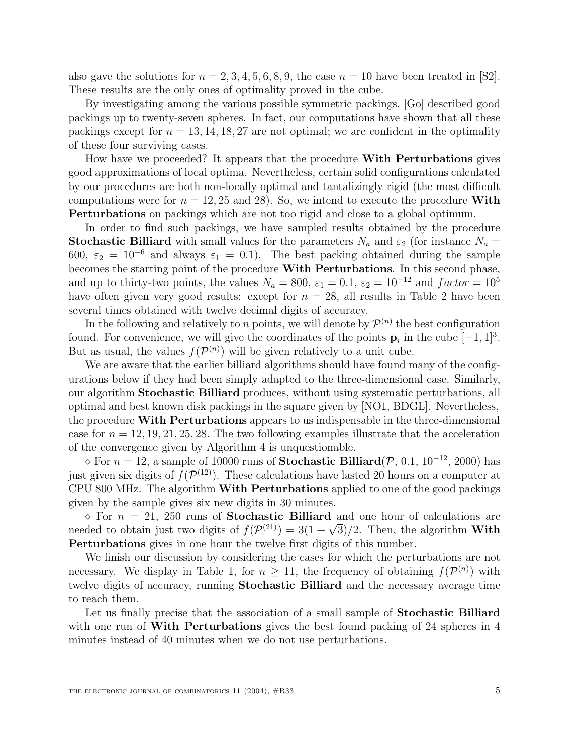also gave the solutions for  $n = 2, 3, 4, 5, 6, 8, 9$ , the case  $n = 10$  have been treated in [S2]. These results are the only ones of optimality proved in the cube.

By investigating among the various possible symmetric packings, [Go] described good packings up to twenty-seven spheres. In fact, our computations have shown that all these packings except for  $n = 13, 14, 18, 27$  are not optimal; we are confident in the optimality of these four surviving cases.

How have we proceeded? It appears that the procedure **With Perturbations** gives good approximations of local optima. Nevertheless, certain solid configurations calculated by our procedures are both non-locally optimal and tantalizingly rigid (the most difficult computations were for  $n = 12, 25$  and 28). So, we intend to execute the procedure **With Perturbations** on packings which are not too rigid and close to a global optimum.

In order to find such packings, we have sampled results obtained by the procedure **Stochastic Billiard** with small values for the parameters  $N_a$  and  $\varepsilon_2$  (for instance  $N_a$  = 600,  $\varepsilon_2 = 10^{-6}$  and always  $\varepsilon_1 = 0.1$ ). The best packing obtained during the sample becomes the starting point of the procedure **With Perturbations**. In this second phase, and up to thirty-two points, the values  $N_a = 800$ ,  $\varepsilon_1 = 0.1$ ,  $\varepsilon_2 = 10^{-12}$  and  $factor = 10^5$ have often given very good results: except for  $n = 28$ , all results in Table 2 have been several times obtained with twelve decimal digits of accuracy.

In the following and relatively to n points, we will denote by  $\mathcal{P}^{(n)}$  the best configuration found. For convenience, we will give the coordinates of the points  $\mathbf{p}_i$  in the cube  $[-1, 1]^3$ . But as usual, the values  $f(\mathcal{P}^{(n)})$  will be given relatively to a unit cube.

We are aware that the earlier billiard algorithms should have found many of the configurations below if they had been simply adapted to the three-dimensional case. Similarly, our algorithm **Stochastic Billiard** produces, without using systematic perturbations, all optimal and best known disk packings in the square given by [NO1, BDGL]. Nevertheless, the procedure **With Perturbations** appears to us indispensable in the three-dimensional case for  $n = 12, 19, 21, 25, 28$ . The two following examples illustrate that the acceleration of the convergence given by Algorithm 4 is unquestionable.

 $\Diamond$  For  $n = 12$ , a sample of 10000 runs of **Stochastic Billiard**( $\mathcal{P}$ , 0.1, 10<sup>-12</sup>, 2000) has just given six digits of  $f(\mathcal{P}^{(12)})$ . These calculations have lasted 20 hours on a computer at CPU 800 MHz. The algorithm **With Perturbations** applied to one of the good packings given by the sample gives six new digits in 30 minutes.

 $\infty$  For  $n = 21$ , 250 runs of **Stochastic Billiard** and one hour of calculations are needed to obtain just two digits of  $f(\mathcal{P}^{(21)}) = 3(1 + \sqrt{3})/2$ . Then, the algorithm **With Perturbations** gives in one hour the twelve first digits of this number.

We finish our discussion by considering the cases for which the perturbations are not necessary. We display in Table 1, for  $n \geq 11$ , the frequency of obtaining  $f(\mathcal{P}^{(n)})$  with twelve digits of accuracy, running **Stochastic Billiard** and the necessary average time to reach them.

Let us finally precise that the association of a small sample of **Stochastic Billiard** with one run of **With Perturbations** gives the best found packing of 24 spheres in 4 minutes instead of 40 minutes when we do not use perturbations.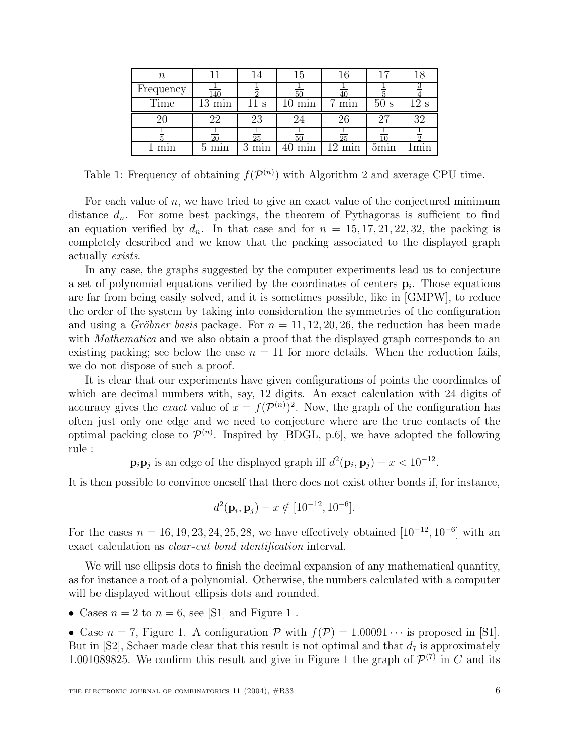| $\, n \,$ |           | 14 | 15  | 16  | 17   | 18   |
|-----------|-----------|----|-----|-----|------|------|
| Frequency | 140       |    | 50  |     |      |      |
| Time      | min<br>13 | S  | min | min | 50s  | 12 s |
|           | 22        | 23 | 24  | 26  | - 97 | 32   |
|           |           |    |     |     |      |      |
|           |           | 25 | 50  | 25  |      |      |

Table 1: Frequency of obtaining  $f(\mathcal{P}^{(n)})$  with Algorithm 2 and average CPU time.

For each value of  $n$ , we have tried to give an exact value of the conjectured minimum distance  $d_n$ . For some best packings, the theorem of Pythagoras is sufficient to find an equation verified by  $d_n$ . In that case and for  $n = 15, 17, 21, 22, 32$ , the packing is completely described and we know that the packing associated to the displayed graph actually exists.

In any case, the graphs suggested by the computer experiments lead us to conjecture a set of polynomial equations verified by the coordinates of centers  $\mathbf{p}_i$ . Those equations are far from being easily solved, and it is sometimes possible, like in [GMPW], to reduce the order of the system by taking into consideration the symmetries of the configuration and using a *Gröbner basis* package. For  $n = 11, 12, 20, 26$ , the reduction has been made with *Mathematica* and we also obtain a proof that the displayed graph corresponds to an existing packing; see below the case  $n = 11$  for more details. When the reduction fails, we do not dispose of such a proof.

It is clear that our experiments have given configurations of points the coordinates of which are decimal numbers with, say, 12 digits. An exact calculation with 24 digits of accuracy gives the *exact* value of  $x = f(\mathcal{P}^{(n)})^2$ . Now, the graph of the configuration has often just only one edge and we need to conjecture where are the true contacts of the optimal packing close to  $\mathcal{P}^{(n)}$ . Inspired by [BDGL, p.6], we have adopted the following rule :

 $\mathbf{p}_i \mathbf{p}_j$  is an edge of the displayed graph iff  $d^2(\mathbf{p}_i, \mathbf{p}_j) - x < 10^{-12}$ .

It is then possible to convince oneself that there does not exist other bonds if, for instance,

$$
d^2(\mathbf{p}_i, \mathbf{p}_j) - x \notin [10^{-12}, 10^{-6}].
$$

For the cases  $n = 16, 19, 23, 24, 25, 28$ , we have effectively obtained  $[10^{-12}, 10^{-6}]$  with an exact calculation as clear-cut bond identification interval.

We will use ellipsis dots to finish the decimal expansion of any mathematical quantity, as for instance a root of a polynomial. Otherwise, the numbers calculated with a computer will be displayed without ellipsis dots and rounded.

• Cases  $n = 2$  to  $n = 6$ , see [S1] and Figure 1.

• Case  $n = 7$ , Figure 1. A configuration  $P$  with  $f(P) = 1.00091 \cdots$  is proposed in [S1]. But in [S2], Schaer made clear that this result is not optimal and that  $d_7$  is approximately 1.001089825. We confirm this result and give in Figure 1 the graph of  $\mathcal{P}^{(7)}$  in C and its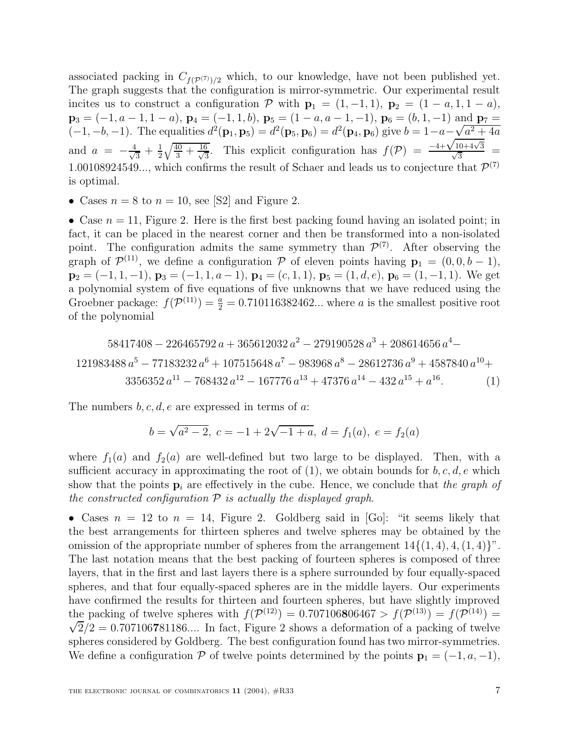associated packing in  $C_{f(\mathcal{P}(7))/2}$  which, to our knowledge, have not been published yet. The graph suggests that the configuration is mirror-symmetric. Our experimental result incites us to construct a configuration  $\mathcal{P}$  with  $\mathbf{p}_1 = (1, -1, 1), \mathbf{p}_2 = (1 - a, 1, 1 - a),$  $\mathbf{p}_3 = (-1, a-1, 1-a)$ ,  $\mathbf{p}_4 = (-1, 1, b)$ ,  $\mathbf{p}_5 = (1-a, a-1, -1)$ ,  $\mathbf{p}_6 = (b, 1, -1)$  and  $\mathbf{p}_7 =$  $(-1, -b, -1)$ . The equalities  $d^2(\mathbf{p}_1, \mathbf{p}_5) = d^2(\mathbf{p}_5, \mathbf{p}_6) = d^2(\mathbf{p}_4, \mathbf{p}_6)$  give  $b = 1 - a - \sqrt{a^2 + 4a}$ and  $a = -\frac{4}{\sqrt{3}} + \frac{1}{2}\sqrt{\frac{40}{3} + \frac{16}{\sqrt{3}}}$  $\frac{3}{2}$ . This explicit configuration has  $f(\mathcal{P}) = \frac{-4+\sqrt{10+4\sqrt{3}}}{\sqrt{3}}$ 1.00108924549..., which confirms the result of Schaer and leads us to conjecture that  $\mathcal{P}^{(7)}$ is optimal.

• Cases  $n = 8$  to  $n = 10$ , see [S2] and Figure 2.

• Case  $n = 11$ , Figure 2. Here is the first best packing found having an isolated point; in fact, it can be placed in the nearest corner and then be transformed into a non-isolated point. The configuration admits the same symmetry than  $\mathcal{P}^{(7)}$ . After observing the graph of  $\mathcal{P}^{(11)}$ , we define a configuration P of eleven points having  $\mathbf{p}_1 = (0, 0, b - 1)$ ,  $\mathbf{p}_2 = (-1, 1, -1), \mathbf{p}_3 = (-1, 1, a - 1), \mathbf{p}_4 = (c, 1, 1), \mathbf{p}_5 = (1, d, e), \mathbf{p}_6 = (1, -1, 1).$  We get a polynomial system of five equations of five unknowns that we have reduced using the Groebner package:  $f(\mathcal{P}^{(11)}) = \frac{a}{2} = 0.710116382462...$  where a is the smallest positive root of the polynomial

$$
58417408 - 226465792 a + 365612032 a^2 - 279190528 a^3 + 208614656 a^4 - 121983488 a^5 - 77183232 a^6 + 107515648 a^7 - 983968 a^8 - 28612736 a^9 + 4587840 a^{10} + 3356352 a^{11} - 768432 a^{12} - 167776 a^{13} + 47376 a^{14} - 432 a^{15} + a^{16}.
$$
 (1)

The numbers  $b, c, d, e$  are expressed in terms of a:

$$
b = \sqrt{a^2 - 2}, \ c = -1 + 2\sqrt{-1 + a}, \ d = f_1(a), \ e = f_2(a)
$$

where  $f_1(a)$  and  $f_2(a)$  are well-defined but two large to be displayed. Then, with a sufficient accuracy in approximating the root of  $(1)$ , we obtain bounds for  $b, c, d, e$  which show that the points  $\mathbf{p}_i$  are effectively in the cube. Hence, we conclude that the graph of the constructed configuration  $P$  is actually the displayed graph.

• Cases  $n = 12$  to  $n = 14$ , Figure 2. Goldberg said in [Go]: "it seems likely that the best arrangements for thirteen spheres and twelve spheres may be obtained by the omission of the appropriate number of spheres from the arrangement  $14\{(1,4), 4, (1,4)\}$ ". The last notation means that the best packing of fourteen spheres is composed of three layers, that in the first and last layers there is a sphere surrounded by four equally-spaced spheres, and that four equally-spaced spheres are in the middle layers. Our experiments have confirmed the results for thirteen and fourteen spheres, but have slightly improved the packing of twelve spheres with  $f(\mathcal{P}^{(12)}) = 0.707106806467 > f(\mathcal{P}^{(13)}) = f(\mathcal{P}^{(14)}) = \sqrt{2}$  $\sqrt{2}/2=0.707106781186...$  In fact, Figure 2 shows a deformation of a packing of twelve spheres considered by Goldberg. The best configuration found has two mirror-symmetries. We define a configuration P of twelve points determined by the points  $\mathbf{p}_1 = (-1, a, -1)$ ,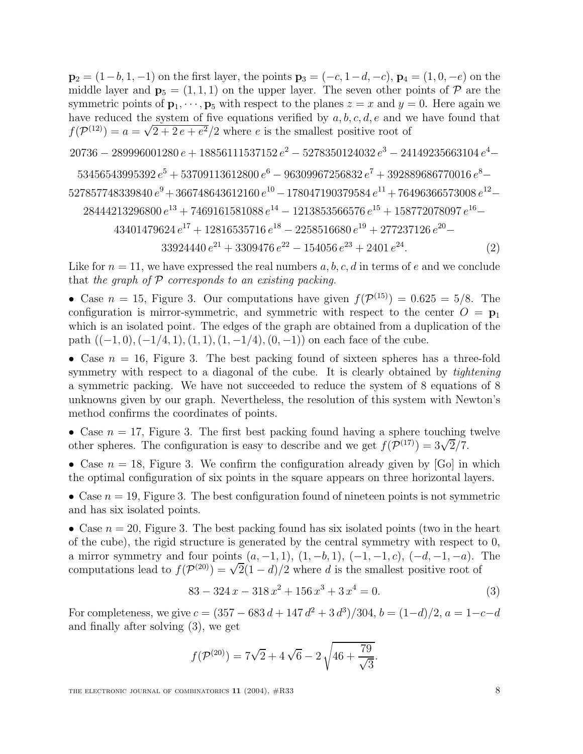$\mathbf{p}_2 = (1-b, 1, -1)$  on the first layer, the points  $\mathbf{p}_3 = (-c, 1-d, -c)$ ,  $\mathbf{p}_4 = (1, 0, -e)$  on the middle layer and  $\mathbf{p}_5 = (1, 1, 1)$  on the upper layer. The seven other points of  $P$  are the symmetric points of  $\mathbf{p}_1, \dots, \mathbf{p}_5$  with respect to the planes  $z = x$  and  $y = 0$ . Here again we have reduced the system of five equations verified by  $a, b, c, d, e$  and we have found that  $f(\mathcal{P}^{(12)}) = a = \sqrt{2+2e+e^2}/2$  where e is the smallest positive root of

 $20736 - 289996001280\,e + 18856111537152\,e^2 - 5278350124032\,e^3 - 24149235663104\,e^4 -$ 

 $53456543995392\,{e}^{5}+53709113612800\,{e}^{6}-96309967256832\,{e}^{7}+392889686770016\,{e}^{8}-$ 

$$
527857748339840\,{e}^{9}+366748643612160\,{e}^{10}-178047190379584\,{e}^{11}+76496366573008\,{e}^{12}-
$$

$$
28444213296800 e^{13} + 7469161581088 e^{14} - 1213853566576 e^{15} + 158772078097 e^{16} -
$$

$$
43401479624 e^{17} + 12816535716 e^{18} - 2258516680 e^{19} + 277237126 e^{20} -
$$

 $33924440 e^{21} + 3309476 e^{22} - 154056 e^{23} + 2401 e^{24}.$  (2)

Like for  $n = 11$ , we have expressed the real numbers a, b, c, d in terms of e and we conclude that the graph of  $P$  corresponds to an existing packing.

• Case  $n = 15$ , Figure 3. Our computations have given  $f(\mathcal{P}^{(15)}) = 0.625 = 5/8$ . The configuration is mirror-symmetric, and symmetric with respect to the center  $O = \mathbf{p}_1$ which is an isolated point. The edges of the graph are obtained from a duplication of the path  $((-1, 0), (-1/4, 1), (1, 1), (1, -1/4), (0, -1))$  on each face of the cube.

• Case  $n = 16$ , Figure 3. The best packing found of sixteen spheres has a three-fold symmetry with respect to a diagonal of the cube. It is clearly obtained by *tightening* a symmetric packing. We have not succeeded to reduce the system of 8 equations of 8 unknowns given by our graph. Nevertheless, the resolution of this system with Newton's method confirms the coordinates of points.

• Case  $n = 17$ , Figure 3. The first best packing found having a sphere touching twelve other spheres. The configuration is easy to describe and we get  $f(\mathcal{P}^{(17)})=3\sqrt{2}/7$ .

• Case  $n = 18$ , Figure 3. We confirm the configuration already given by [Go] in which the optimal configuration of six points in the square appears on three horizontal layers.

• Case  $n = 19$ , Figure 3. The best configuration found of nineteen points is not symmetric and has six isolated points.

• Case  $n = 20$ , Figure 3. The best packing found has six isolated points (two in the heart of the cube), the rigid structure is generated by the central symmetry with respect to 0, a mirror symmetry and four points  $(a, -1, 1), (1, -b, 1), (-1, -1, c), (-d, -1, -a)$ . The computations lead to  $f(\mathcal{P}^{(20)}) = \sqrt{2}(1-d)/2$  where d is the smallest positive root of

$$
83 - 324x - 318x^2 + 156x^3 + 3x^4 = 0.
$$
 (3)

For completeness, we give  $c = (357 - 683 d + 147 d^2 + 3 d^3)/304$ ,  $b = (1-d)/2$ ,  $a = 1-c-d$ and finally after solving (3), we get

$$
f(\mathcal{P}^{(20)}) = 7\sqrt{2} + 4\sqrt{6} - 2\sqrt{46 + \frac{79}{\sqrt{3}}}.
$$

THE ELECTRONIC JOURNAL OF COMBINATORICS  $11$  (2004),  $\#R33$  8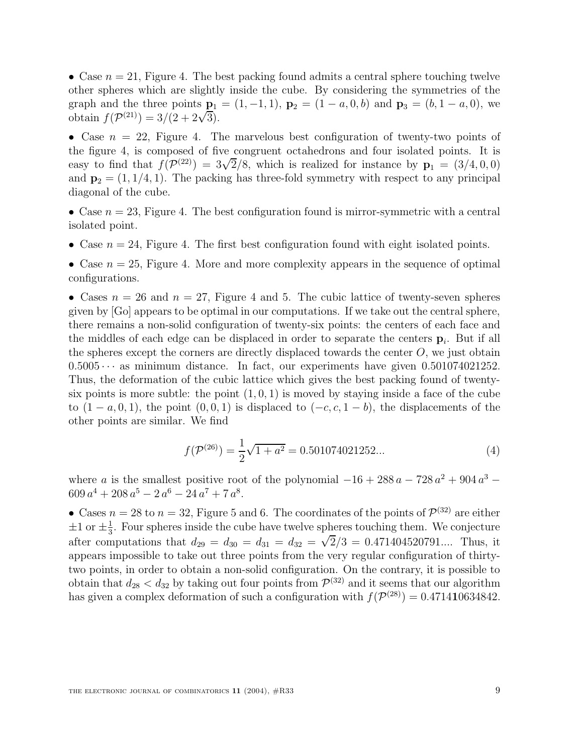• Case  $n = 21$ , Figure 4. The best packing found admits a central sphere touching twelve other spheres which are slightly inside the cube. By considering the symmetries of the graph and the three points  $\mathbf{p}_1 = (1, -1, 1), \mathbf{p}_2 = (1 - a, 0, b)$  and  $\mathbf{p}_3 = (b, 1 - a, 0),$  we obtain  $f(\mathcal{P}^{(21)})=3/(2 + 2\sqrt{3}).$ 

• Case  $n = 22$ , Figure 4. The marvelous best configuration of twenty-two points of the figure 4, is composed of five congruent octahedrons and four isolated points. It is easy to find that  $f(\mathcal{P}^{(22)})=3\sqrt{2}/8$ , which is realized for instance by  $\mathbf{p}_1 = (3/4, 0, 0)$ and  $\mathbf{p}_2 = (1, 1/4, 1)$ . The packing has three-fold symmetry with respect to any principal diagonal of the cube.

• Case  $n = 23$ , Figure 4. The best configuration found is mirror-symmetric with a central isolated point.

- Case  $n = 24$ , Figure 4. The first best configuration found with eight isolated points.
- Case  $n = 25$ , Figure 4. More and more complexity appears in the sequence of optimal configurations.

• Cases  $n = 26$  and  $n = 27$ , Figure 4 and 5. The cubic lattice of twenty-seven spheres given by [Go] appears to be optimal in our computations. If we take out the central sphere, there remains a non-solid configuration of twenty-six points: the centers of each face and the middles of each edge can be displaced in order to separate the centers  $\mathbf{p}_i$ . But if all the spheres except the corners are directly displaced towards the center  $O$ , we just obtain  $0.5005 \cdots$  as minimum distance. In fact, our experiments have given  $0.501074021252$ . Thus, the deformation of the cubic lattice which gives the best packing found of twentysix points is more subtle: the point  $(1, 0, 1)$  is moved by staying inside a face of the cube to  $(1 - a, 0, 1)$ , the point  $(0, 0, 1)$  is displaced to  $(-c, c, 1 - b)$ , the displacements of the other points are similar. We find

$$
f(\mathcal{P}^{(26)}) = \frac{1}{2}\sqrt{1+a^2} = 0.501074021252...
$$
 (4)

where a is the smallest positive root of the polynomial  $-16 + 288 a - 728 a^2 + 904 a^3$  $609 a<sup>4</sup> + 208 a<sup>5</sup> - 2 a<sup>6</sup> - 24 a<sup>7</sup> + 7 a<sup>8</sup>.$ 

• Cases  $n = 28$  to  $n = 32$ , Figure 5 and 6. The coordinates of the points of  $\mathcal{P}^{(32)}$  are either  $\pm 1$  or  $\pm \frac{1}{3}$ . Four spheres inside the cube have twelve spheres touching them. We conjecture after computations that  $d_{29} = d_{30} = d_{31} = d_{32} = \sqrt{2}/3 = 0.471404520791...$  Thus, it appears impossible to take out three points from the very regular configuration of thirtytwo points, in order to obtain a non-solid configuration. On the contrary, it is possible to obtain that  $d_{28} < d_{32}$  by taking out four points from  $\mathcal{P}^{(32)}$  and it seems that our algorithm has given a complex deformation of such a configuration with  $f(\mathcal{P}^{(28)})=0.471410634842$ .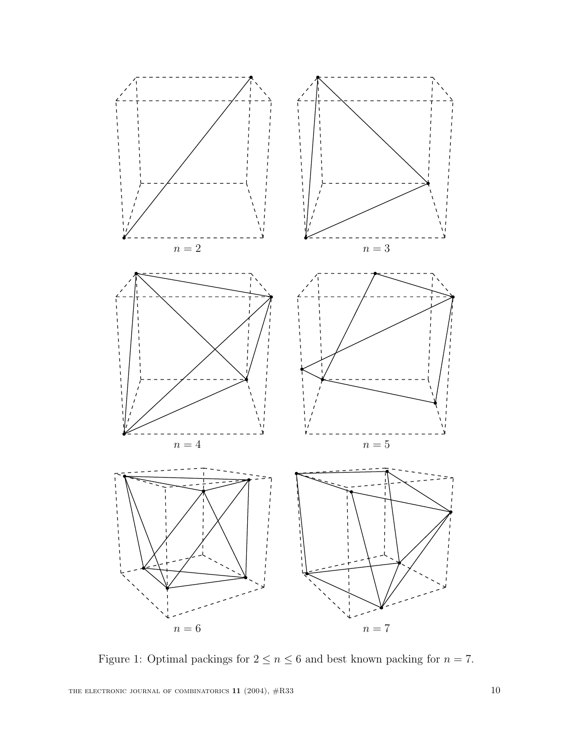

Figure 1: Optimal packings for  $2\leq n\leq 6$  and best known packing for  $n=7.$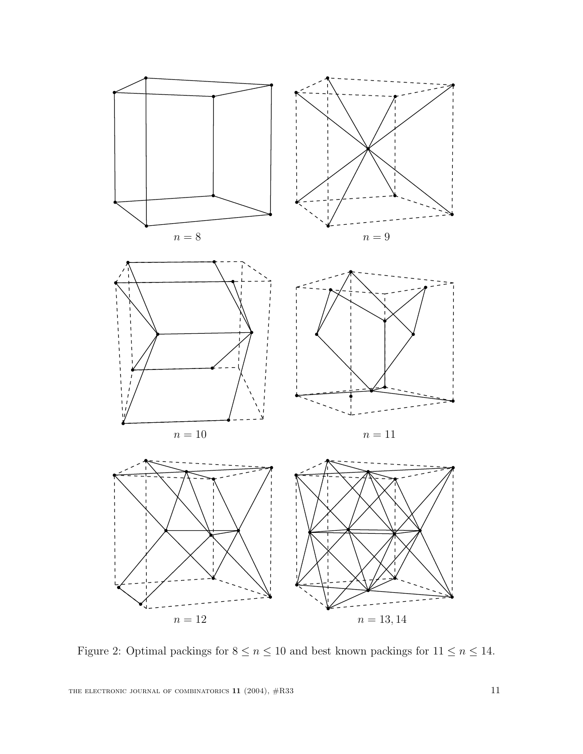

Figure 2: Optimal packings for  $8 \leq n \leq 10$  and best known packings for  $11 \leq n \leq 14.$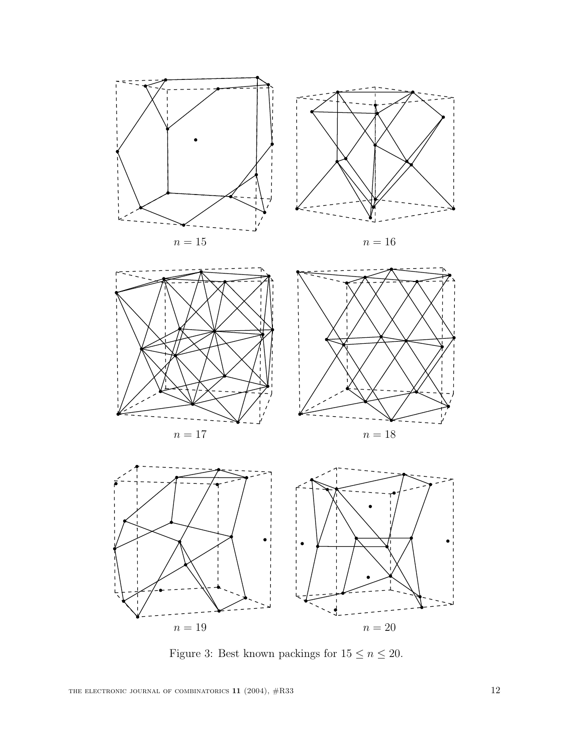



Figure 3: Best known packings for  $15\leq n\leq 20.$ 

THE ELECTRONIC JOURNAL OF COMBINATORICS  $11$  (2004),  $\#R33$  12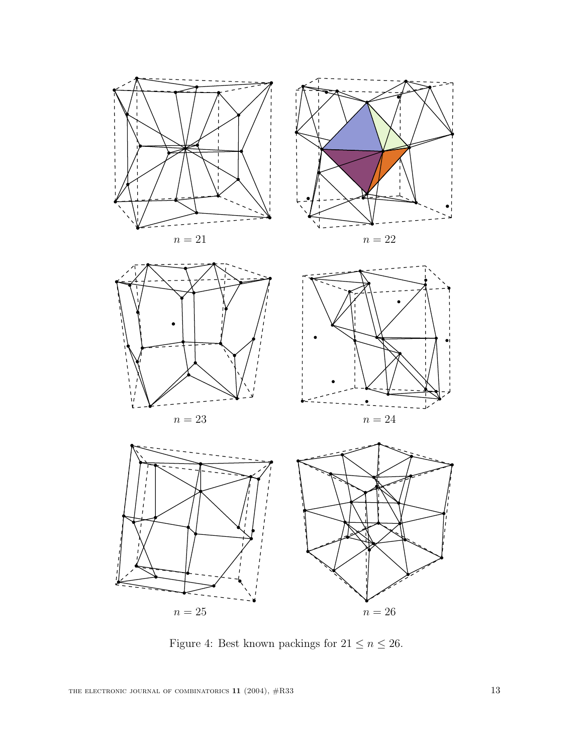

Figure 4: Best known packings for  $21\leq n\leq 26.$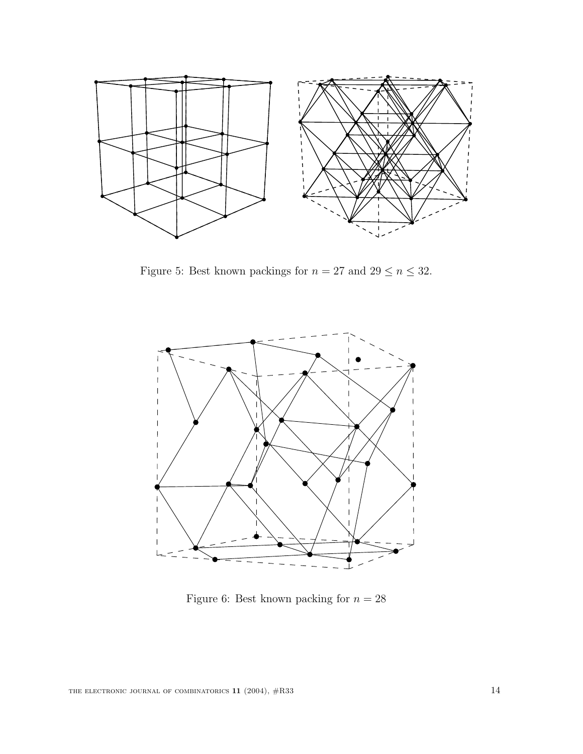

Figure 5: Best known packings for  $n=27$  and  $29\leq n\leq 32.$ 



Figure 6: Best known packing for  $n = 28$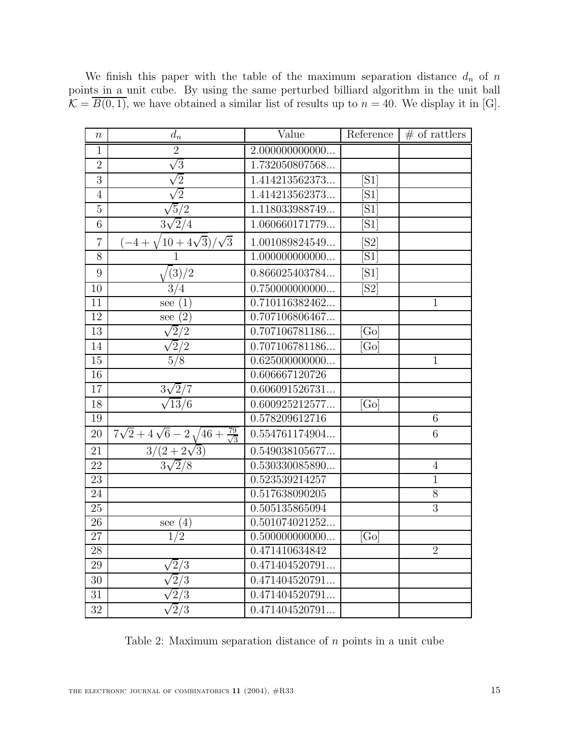| $\, n$          | $d_n$                                                                        | Value           | Reference         | $#$ of rattlers |
|-----------------|------------------------------------------------------------------------------|-----------------|-------------------|-----------------|
| $\mathbf{1}$    | $\overline{2}$                                                               | 2.000000000000  |                   |                 |
| $\overline{2}$  | $\sqrt{3}$                                                                   | 1.732050807568  |                   |                 |
| 3               | $\sqrt{2}$                                                                   | 1.414213562373  | [S1]              |                 |
| $\overline{4}$  | $\sqrt{2}$                                                                   | 1.414213562373  | [S1]              |                 |
| $\overline{5}$  | $\overline{5/2}$                                                             | 1.118033988749  | [S1]              |                 |
| $\overline{6}$  | $3\sqrt{2}/4$                                                                | 1.060660171779  | [S1]              |                 |
| $\overline{7}$  | $(10+4\sqrt{3})/\sqrt{3}$<br>$(-4 +$                                         | 1.001089824549  | [S2]              |                 |
| 8               |                                                                              | 1.000000000000  | [S1]              |                 |
| 9               | (3)/2                                                                        | 0.866025403784  | [S1]              |                 |
| $\overline{10}$ | $\overline{3/4}$                                                             | 0.750000000000  | [S2]              |                 |
| 11              | (1)<br>see                                                                   | 0.710116382462  |                   | $\mathbf{1}$    |
| 12              | $\overline{(2)}$<br>see                                                      | 0.707106806467  |                   |                 |
| 13              | $\sqrt{2}/2$                                                                 | 0.707106781186  | [Go]              |                 |
| 14              | $\sqrt{2}/2$                                                                 | 0.707106781186  | $G_{\rm O}$       |                 |
| 15              | $\overline{5/8}$                                                             | 0.625000000000  |                   | $\mathbf{1}$    |
| 16              |                                                                              | 0.606667120726  |                   |                 |
| 17              | $3\sqrt{2}/7$                                                                | 0.606091526731  |                   |                 |
| 18              | $\sqrt{13}/6$                                                                | 0.600925212577  | [G <sub>O</sub> ] |                 |
| 19              |                                                                              | 0.578209612716  |                   | $\overline{6}$  |
| 20              | $\frac{7\sqrt{2}+4\sqrt{6}-2\sqrt{46+\frac{79}{\sqrt{3}}}}{3/(2+2\sqrt{3})}$ | 0.554761174904  |                   | 6               |
| 21              |                                                                              | 0.549038105677  |                   |                 |
| 22              | $3\sqrt{2}/8$                                                                | 0.530330085890  |                   | $\overline{4}$  |
| 23              |                                                                              | 0.523539214257  |                   | $\overline{1}$  |
| 24              |                                                                              | 0.517638090205  |                   | 8               |
| $\overline{25}$ |                                                                              | 0.505135865094  |                   | $\overline{3}$  |
| 26              | (4)<br>see                                                                   | 0.501074021252. |                   |                 |
| $\overline{27}$ | $\overline{2}$<br>$\mathbf{1}$                                               | 0.500000000000  | [G <sub>0</sub> ] |                 |
| $\overline{28}$ |                                                                              | 0.471410634842  |                   | $\overline{2}$  |
| 29              | $\sqrt{2}/3$                                                                 | 0.471404520791  |                   |                 |
| 30              | $\sqrt{2}/3$                                                                 | 0.471404520791  |                   |                 |
| 31              | $\overline{2}$<br>$^{\prime}3$                                               | 0.471404520791  |                   |                 |
| 32              | $\overline{2}/3$                                                             | 0.471404520791  |                   |                 |

We finish this paper with the table of the maximum separation distance  $d_n$  of n points in a unit cube. By using the same perturbed billiard algorithm in the unit ball  $\mathcal{K} = \overline{B(0, 1)}$ , we have obtained a similar list of results up to  $n = 40$ . We display it in [G].

Table 2: Maximum separation distance of n points in a unit cube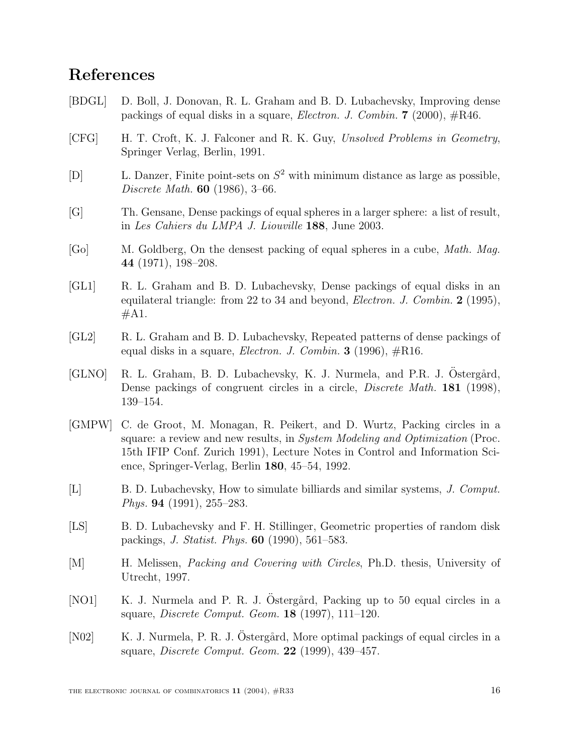## **References**

- [BDGL] D. Boll, J. Donovan, R. L. Graham and B. D. Lubachevsky, Improving dense packings of equal disks in a square, Electron. J. Combin. **7** (2000), #R46.
- [CFG] H. T. Croft, K. J. Falconer and R. K. Guy, Unsolved Problems in Geometry, Springer Verlag, Berlin, 1991.
- [D] L. Danzer, Finite point-sets on  $S^2$  with minimum distance as large as possible, Discrete Math. **60** (1986), 3–66.
- [G] Th. Gensane, Dense packings of equal spheres in a larger sphere: a list of result, in Les Cahiers du LMPA J. Liouville **188**, June 2003.
- [Go] M. Goldberg, On the densest packing of equal spheres in a cube, Math. Mag. **44** (1971), 198–208.
- [GL1] R. L. Graham and B. D. Lubachevsky, Dense packings of equal disks in an equilateral triangle: from 22 to 34 and beyond, Electron. J. Combin. **2** (1995),  $#A1.$
- [GL2] R. L. Graham and B. D. Lubachevsky, Repeated patterns of dense packings of equal disks in a square, *Electron. J. Combin.* **3** (1996),  $\#R16$ .
- [GLNO] R. L. Graham, B. D. Lubachevsky, K. J. Nurmela, and P.R. J. Östergård, Dense packings of congruent circles in a circle, Discrete Math. **181** (1998), 139–154.
- [GMPW] C. de Groot, M. Monagan, R. Peikert, and D. Wurtz, Packing circles in a square: a review and new results, in *System Modeling and Optimization* (Proc. 15th IFIP Conf. Zurich 1991), Lecture Notes in Control and Information Science, Springer-Verlag, Berlin **180**, 45–54, 1992.
- [L] B. D. Lubachevsky, How to simulate billiards and similar systems, J. Comput. Phys. **94** (1991), 255–283.
- [LS] B. D. Lubachevsky and F. H. Stillinger, Geometric properties of random disk packings, J. Statist. Phys. **60** (1990), 561–583.
- [M] H. Melissen, Packing and Covering with Circles, Ph.D. thesis, University of Utrecht, 1997.
- [NO1] K. J. Nurmela and P. R. J. Ostergård, Packing up to 50 equal circles in a square, Discrete Comput. Geom. **18** (1997), 111–120.
- [N02] K. J. Nurmela, P. R. J. Ostergård, More optimal packings of equal circles in a square, Discrete Comput. Geom. **22** (1999), 439–457.